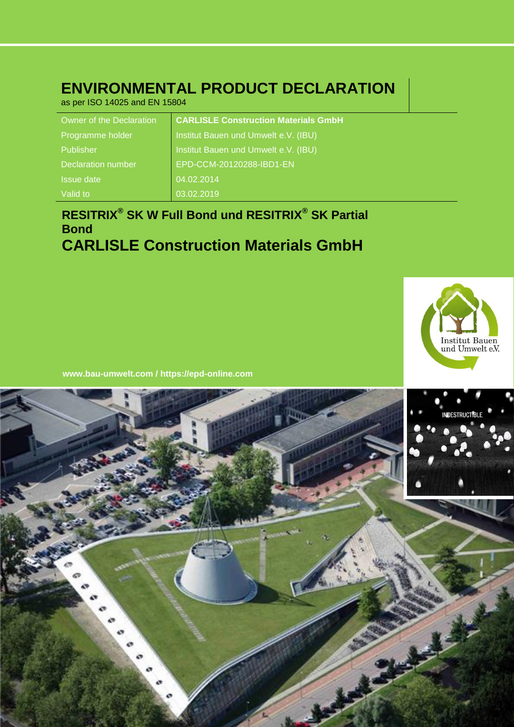# **ENVIRONMENTAL PRODUCT DECLARATION**

as per ISO 14025 and EN 15804

| Owner of the Declaration  | <b>CARLISLE Construction Materials GmbH</b> |
|---------------------------|---------------------------------------------|
| Programme holder          | Institut Bauen und Umwelt e.V. (IBU)        |
| Publisher                 | Institut Bauen und Umwelt e.V. (IBU)        |
| <b>Declaration number</b> | EPD-CCM-20120288-IBD1-EN                    |
| <b>Issue date</b>         | 04.02.2014                                  |
| Valid to                  | 03.02.2019                                  |

# **RESITRIX® SK W Full Bond und RESITRIX® SK Partial Bond CARLISLE Construction Materials GmbH**



**www.bau -umwelt.com / https://epd-online.com**

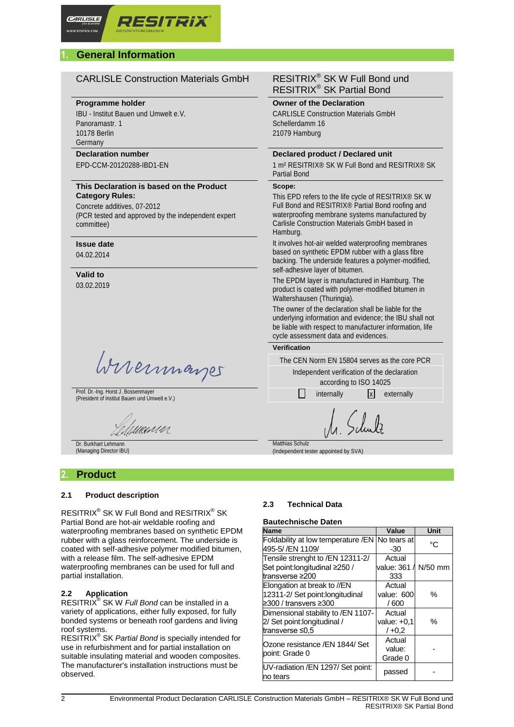# **1. General Information**

# CARLISLE Construction Materials GmbH RESITRIX® SK W Full Bond und

#### **Programme holder**

IBU - Institut Bauen und Umwelt e.V. Panoramastr. 1 10178 Berlin Germany

# **Declaration number**

EPD-CCM-20120288-IBD1-EN

#### **This Declaration is based on the Product Category Rules:**

Concrete additives, 07-2012 (PCR tested and approved by the independent expert committee)

# **Issue date**

04.02.2014

**Valid to** 03.02.2019

Wirermayes

Prof. Dr.-Ing. Horst J. Bossenmayer Prof. Dr.-Ing. Horst J. Bossenmayer<br>(President of Institut Bauen und Umwelt e.V.) internally internally internally internally x externally

'MANNA

Dr. Burkhart Lehmann (Managing Director IBU)

# **2. Product**

#### **2.1 Product description**

 $\mathsf{RESITRIX}^{\circledast}$  SK W Full Bond and  $\mathsf{RESITRIX}^{\circledast}$  SK Partial Bond are hot-air weldable roofing and waterproofing membranes based on synthetic EPDM rubber with a glass reinforcement. The underside is coated with self-adhesive polymer modified bitumen, with a release film. The self-adhesive EPDM waterproofing membranes can be used for full and partial installation.

#### **2.2 Application**

RESITRIX® SK W *Full Bond* can be installed in a variety of applications, either fully exposed, for fully bonded systems or beneath roof gardens and living roof systems.

RESITRIX® SK *Partial Bond* is specially intended for use in refurbishment and for partial installation on suitable insulating material and wooden composites. The manufacturer's installation instructions must be observed.

# RESITRIX® SK Partial Bond

**Owner of the Declaration** CARLISLE Construction Materials GmbH Schellerdamm 16 21079 Hamburg

#### **Declared product / Declared unit**

1 m² RESITRIX® SK W Full Bond and RESITRIX® SK Partial Bond

#### **Scope:**

This EPD refers to the life cycle of RESITRIX® SK W Full Bond and RESITRIX® Partial Bond roofing and waterproofing membrane systems manufactured by Carlisle Construction Materials GmbH based in Hamburg.

It involves hot-air welded waterproofing membranes based on synthetic EPDM rubber with a glass fibre backing. The underside features a polymer-modified, self-adhesive layer of bitumen.

The EPDM layer is manufactured in Hamburg. The product is coated with polymer-modified bitumen in Waltershausen (Thuringia).

The owner of the declaration shall be liable for the underlying information and evidence; the IBU shall not be liable with respect to manufacturer information, life cycle assessment data and evidences.

**Verification**

The CEN Norm EN 15804 serves as the core PCR Independent verification of the declaration

according to ISO 14025

Matthias Schulz (Independent tester appointed by SVA)

### **2.3 Technical Data**

#### **Bautechnische Daten**

| <b>Name</b>                                                                              | Value                               | Unit    |
|------------------------------------------------------------------------------------------|-------------------------------------|---------|
| Foldability at low temperature /EN No tears at<br>495-5/ /EN 1109/                       | -30                                 | °C      |
| Tensile strenght to /EN 12311-2/<br>Set point: longitudinal ≥250 /<br>transverse ≥200    | Actual<br>value: 361 /<br>333       | N/50 mm |
| Elongation at break to //EN<br>12311-2/ Set point: longitudinal<br>≥300 / transvers ≥300 | Actual<br>value: 600<br>/600        | ℅       |
| Dimensional stability to /EN 1107-<br>2/ Set point: longitudinal /<br>transverse ≤0,5    | Actual<br>value: $+0.1$<br>$/ +0.2$ | $\%$    |
| Ozone resistance /EN 1844/ Set<br>point: Grade 0                                         | Actual<br>value:<br>Grade 0         |         |
| UV-radiation /EN 1297/ Set point:<br>no tears                                            | passed                              |         |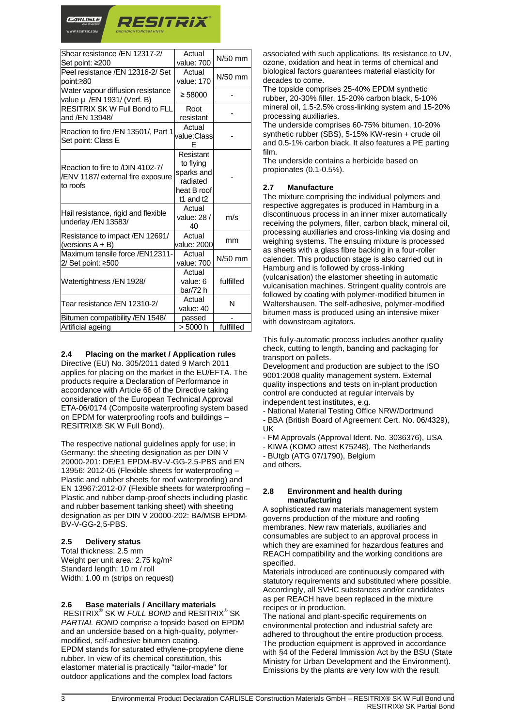

| Shear resistance /EN 12317-2/<br>Set point: ≥200                                  | Actual<br>value: 700                                                         | $N/50$ mm |
|-----------------------------------------------------------------------------------|------------------------------------------------------------------------------|-----------|
| Peel resistance /EN 12316-2/ Set<br>lpoint:≥80                                    | Actual<br>value: 170                                                         | $N/50$ mm |
| Water vapour diffusion resistance<br>value µ /EN 1931/ (Verf. B)                  | $\geq 58000$                                                                 |           |
| <b>RESITRIX SK W Full Bond to FLL</b><br>and /EN 13948/                           | Root<br>resistant                                                            |           |
| Reaction to fire /EN 13501/, Part 1<br>Set point: Class E                         | Actual<br>value:Class                                                        |           |
| Reaction to fire to /DIN 4102-7/<br>VENV 1187/ external fire exposure<br>to roofs | Resistant<br>to flying<br>sparks and<br>radiated<br>heat B roof<br>t1 and t2 |           |
| Hail resistance, rigid and flexible<br>underlay /EN 13583/                        | Actual<br>value: 28 /<br>40                                                  | m/s       |
| Resistance to impact / EN 12691/<br>(versions $A + B$ )                           | Actual<br>value: 2000                                                        | mm        |
| Maximum tensile force /EN12311-<br>2/ Set point: ≥500                             | Actual<br>value: 700                                                         | $N/50$ mm |
| Watertightness / EN 1928/                                                         | Actual<br>value: 6<br>bar/72 h                                               | fulfilled |
| Tear resistance /EN 12310-2/                                                      | Actual<br>value: 40                                                          | N         |
| Bitumen compatibility /EN 1548/                                                   | passed                                                                       |           |
| Artificial ageing                                                                 | > 5000 h                                                                     | fulfilled |

**2.4 Placing on the market / Application rules** Directive (EU) No. 305/2011 dated 9 March 2011 applies for placing on the market in the EU/EFTA. The products require a Declaration of Performance in accordance with Article 66 of the Directive taking consideration of the European Technical Approval

ETA-06/0174 (Composite waterproofing system based on EPDM for waterproofing roofs and buildings – RESITRIX® SK W Full Bond).

The respective national guidelines apply for use; in Germany: the sheeting designation as per DIN V 20000-201: DE/E1 EPDM-BV-V-GG-2,5-PBS and EN 13956: 2012-05 (Flexible sheets for waterproofing – Plastic and rubber sheets for roof waterproofing) and EN 13967:2012-07 (Flexible sheets for waterproofing – Plastic and rubber damp-proof sheets including plastic and rubber basement tanking sheet) with sheeting designation as per DIN V 20000-202: BA/MSB EPDM-BV-V-GG-2,5-PBS.

#### **2.5 Delivery status**

Total thickness: 2.5 mm Weight per unit area: 2.75 kg/m<sup>2</sup> Standard length: 10 m / roll Width: 1.00 m (strips on request)

#### **2.6 Base materials / Ancillary materials**

RESITRIX® SK W *FULL BOND* and RESITRIX® SK *PARTIAL BOND* comprise a topside based on EPDM and an underside based on a high-quality, polymermodified, self-adhesive bitumen coating. EPDM stands for saturated ethylene-propylene diene rubber. In view of its chemical constitution, this elastomer material is practically "tailor-made" for outdoor applications and the complex load factors

associated with such applications. Its resistance to UV, ozone, oxidation and heat in terms of chemical and biological factors guarantees material elasticity for decades to come.

The topside comprises 25-40% EPDM synthetic rubber, 20-30% filler, 15-20% carbon black, 5-10% mineral oil, 1.5-2.5% cross-linking system and 15-20% processing auxiliaries.

The underside comprises 60-75% bitumen, 10-20% synthetic rubber (SBS), 5-15% KW-resin + crude oil and 0.5-1% carbon black. It also features a PE parting film.

The underside contains a herbicide based on propionates (0.1-0.5%).

#### **2.7 Manufacture**

The mixture comprising the individual polymers and respective aggregates is produced in Hamburg in a discontinuous process in an inner mixer automatically receiving the polymers, filler, carbon black, mineral oil, processing auxiliaries and cross-linking via dosing and weighing systems. The ensuing mixture is processed as sheets with a glass fibre backing in a four-roller calender. This production stage is also carried out in Hamburg and is followed by cross-linking (vulcanisation) the elastomer sheeting in automatic vulcanisation machines. Stringent quality controls are followed by coating with polymer-modified bitumen in Waltershausen. The self-adhesive, polymer-modified bitumen mass is produced using an intensive mixer with downstream agitators.

This fully-automatic process includes another quality check, cutting to length, banding and packaging for transport on pallets.

Development and production are subject to the ISO 9001:2008 quality management system. External quality inspections and tests on in-plant production control are conducted at regular intervals by independent test institutes, e.g.

- National Material Testing Office NRW/Dortmund

- BBA (British Board of Agreement Cert. No. 06/4329), UK

- FM Approvals (Approval Ident. No. 3036376), USA

- KIWA (KOMO attest K75248), The Netherlands

- BUtgb (ATG 07/1790), Belgium

and others.

#### **2.8 Environment and health during manufacturing**

A sophisticated raw materials management system governs production of the mixture and roofing membranes. New raw materials, auxiliaries and consumables are subject to an approval process in which they are examined for hazardous features and REACH compatibility and the working conditions are specified.

Materials introduced are continuously compared with statutory requirements and substituted where possible. Accordingly, all SVHC substances and/or candidates as per REACH have been replaced in the mixture recipes or in production.

The national and plant-specific requirements on environmental protection and industrial safety are adhered to throughout the entire production process. The production equipment is approved in accordance with §4 of the Federal Immission Act by the BSU (State Ministry for Urban Development and the Environment). Emissions by the plants are very low with the result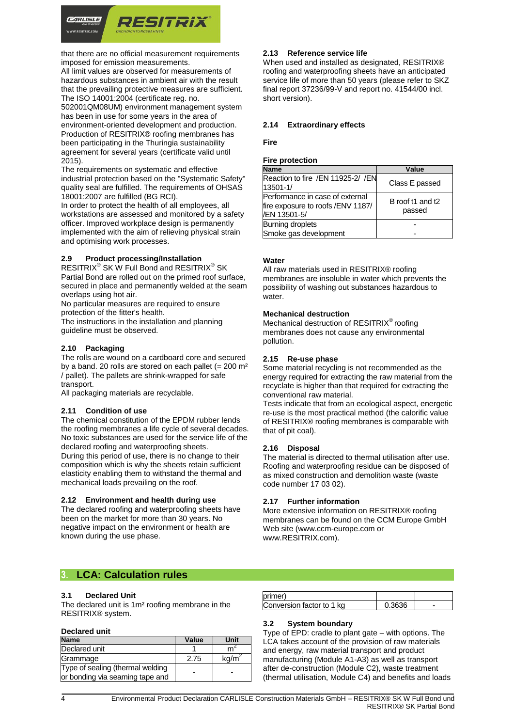

that there are no official measurement requirements imposed for emission measurements.

All limit values are observed for measurements of hazardous substances in ambient air with the result that the prevailing protective measures are sufficient. The ISO 14001:2004 (certificate reg. no.

502001QM08UM) environment management system has been in use for some years in the area of environment-oriented development and production. Production of RESITRIX® roofing membranes has been participating in the Thuringia sustainability agreement for several years (certificate valid until 2015).

The requirements on systematic and effective industrial protection based on the "Systematic Safety" quality seal are fulfilled. The requirements of OHSAS 18001:2007 are fulfilled (BG RCI).

In order to protect the health of all employees, all workstations are assessed and monitored by a safety officer. Improved workplace design is permanently implemented with the aim of relieving physical strain and optimising work processes.

#### **2.9 Product processing/Installation**

RESITRIX<sup>®</sup> SK W Full Bond and RESITRIX<sup>®</sup> SK Partial Bond are rolled out on the primed roof surface, secured in place and permanently welded at the seam overlaps using hot air.

No particular measures are required to ensure protection of the fitter's health.

The instructions in the installation and planning guideline must be observed.

#### **2.10 Packaging**

The rolls are wound on a cardboard core and secured by a band. 20 rolls are stored on each pallet  $(= 200 \text{ m}^2)$ / pallet). The pallets are shrink-wrapped for safe transport.

All packaging materials are recyclable.

#### **2.11 Condition of use**

The chemical constitution of the EPDM rubber lends the roofing membranes a life cycle of several decades. No toxic substances are used for the service life of the declared roofing and waterproofing sheets. During this period of use, there is no change to their composition which is why the sheets retain sufficient elasticity enabling them to withstand the thermal and mechanical loads prevailing on the roof.

#### **2.12 Environment and health during use**

The declared roofing and waterproofing sheets have been on the market for more than 30 years. No negative impact on the environment or health are known during the use phase.

#### **2.13 Reference service life**

When used and installed as designated, RESITRIX® roofing and waterproofing sheets have an anticipated service life of more than 50 years (please refer to SKZ final report 37236/99-V and report no. 41544/00 incl. short version).

#### **2.14 Extraordinary effects**

#### **Fire**

#### **Fire protection**

| <b>Name</b>                                                                           | Value                      |
|---------------------------------------------------------------------------------------|----------------------------|
| Reaction to fire /EN 11925-2/ /EN<br>13501-1/                                         | Class E passed             |
| Performance in case of external<br>fire exposure to roofs / ENV 1187/<br>/EN 13501-5/ | B roof t1 and t2<br>passed |
| <b>Burning droplets</b>                                                               |                            |
| Smoke gas development                                                                 |                            |

#### **Water**

All raw materials used in RESITRIX® roofing membranes are insoluble in water which prevents the possibility of washing out substances hazardous to water.

#### **Mechanical destruction**

Mechanical destruction of RESITRIX<sup>®</sup> roofing membranes does not cause any environmental pollution.

#### **2.15 Re-use phase**

Some material recycling is not recommended as the energy required for extracting the raw material from the recyclate is higher than that required for extracting the conventional raw material.

Tests indicate that from an ecological aspect, energetic re-use is the most practical method (the calorific value of RESITRIX® roofing membranes is comparable with that of pit coal).

#### **2.16 Disposal**

The material is directed to thermal utilisation after use. Roofing and waterproofing residue can be disposed of as mixed construction and demolition waste (waste code number 17 03 02).

#### **2.17 Further information**

More extensive information on RESITRIX® roofing membranes can be found on the CCM Europe GmbH Web site (www.ccm-europe.com or www.RESITRIX.com).

### **3. LCA: Calculation rules**

#### **3.1 Declared Unit**

The declared unit is 1m² roofing membrane in the RESITRIX® system.

#### **Declared unit**

| <b>Name</b>                                                         | Value | Unit |
|---------------------------------------------------------------------|-------|------|
| Declared unit                                                       |       |      |
| Grammage                                                            | 2.75  | kg/m |
| Type of sealing (thermal welding<br>or bonding via seaming tape and | ۰     |      |

| Conversion factor to 1 kg |  |
|---------------------------|--|

#### **3.2 System boundary**

Type of EPD: cradle to plant gate – with options. The LCA takes account of the provision of raw materials and energy, raw material transport and product manufacturing (Module A1-A3) as well as transport after de-construction (Module C2), waste treatment (thermal utilisation, Module C4) and benefits and loads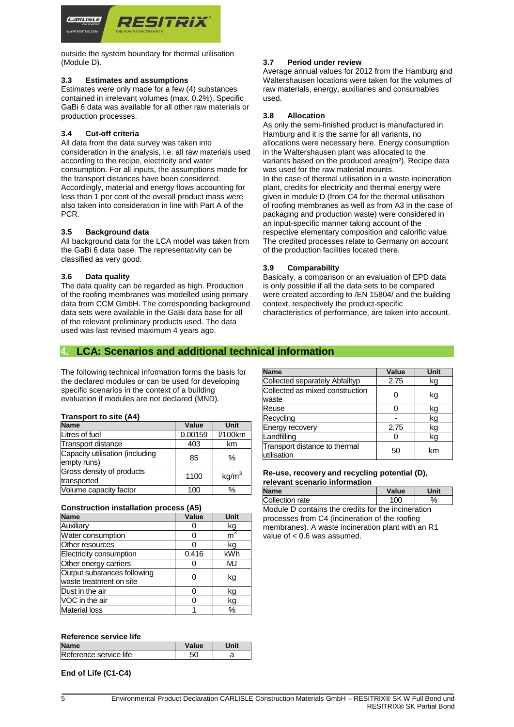

outside the system boundary for thermal utilisation (Module D).

#### **3.3 Estimates and assumptions**

Estimates were only made for a few (4) substances contained in irrelevant volumes (max. 0.2%). Specific GaBi 6 data was available for all other raw materials or production processes.

#### **3.4 Cut-off criteria**

All data from the data survey was taken into consideration in the analysis, i.e. all raw materials used according to the recipe, electricity and water consumption. For all inputs, the assumptions made for the transport distances have been considered. Accordingly, material and energy flows accounting for less than 1 per cent of the overall product mass were also taken into consideration in line with Part A of the PCR.

#### **3.5 Background data**

All background data for the LCA model was taken from the GaBi 6 data base. The representativity can be classified as very good.

#### **3.6 Data quality**

The data quality can be regarded as high. Production of the roofing membranes was modelled using primary data from CCM GmbH. The corresponding background data sets were available in the GaBi data base for all of the relevant preliminary products used. The data used was last revised maximum 4 years ago.

#### **3.7 Period under review**

Average annual values for 2012 from the Hamburg and Waltershausen locations were taken for the volumes of raw materials, energy, auxiliaries and consumables used.

#### **3.8 Allocation**

As only the semi-finished product is manufactured in Hamburg and it is the same for all variants, no allocations were necessary here. Energy consumption in the Waltershausen plant was allocated to the variants based on the produced area(m²). Recipe data was used for the raw material mounts. In the case of thermal utilisation in a waste incineration plant, credits for electricity and thermal energy were given in module D (from C4 for the thermal utilisation of roofing membranes as well as from A3 in the case of packaging and production waste) were considered in an input-specific manner taking account of the respective elementary composition and calorific value. The credited processes relate to Germany on account of the production facilities located there.

#### **3.9 Comparability**

Basically, a comparison or an evaluation of EPD data is only possible if all the data sets to be compared were created according to /EN 15804/ and the building context, respectively the product-specific characteristics of performance, are taken into account.

### **4. LCA: Scenarios and additional technical information**

The following technical information forms the basis for the declared modules or can be used for developing specific scenarios in the context of a building evaluation if modules are not declared (MND).

#### **Transport to site (A4)**

| <b>Name</b>                                    | Value   | <b>Unit</b>       |
|------------------------------------------------|---------|-------------------|
| Litres of fuel                                 | 0.00159 | $1/100$ km        |
| Transport distance                             | 403     | km                |
| Capacity utilisation (including<br>empty runs) | 85      | $\%$              |
| Gross density of products<br>transported       | 1100    | kg/m <sup>3</sup> |
| Volume capacity factor                         | 100     | %                 |

| <b>Construction installation process (A5)</b> |  |  |
|-----------------------------------------------|--|--|
|                                               |  |  |

| <b>Name</b>                                            | Value | Unit  |
|--------------------------------------------------------|-------|-------|
| Auxiliary                                              |       | kg    |
| Water consumption                                      |       | $m^3$ |
| Other resources                                        |       | kg    |
| Electricity consumption                                | 0.416 | kWh   |
| Other energy carriers                                  |       | MJ    |
| Output substances following<br>waste treatment on site | በ     | kg    |
| Dust in the air                                        | n     | kg    |
| VOC in the air                                         | n     | kg    |
| <b>Material loss</b>                                   |       | %     |

#### **Reference service life**

| <b>Name</b>            | Value |  |
|------------------------|-------|--|
| Reference service life |       |  |

**End of Life (C1-C4)**

| <b>Name</b>                                  | Value | Unit |
|----------------------------------------------|-------|------|
| Collected separately Abfalltyp               | 2.75  | kg   |
| Collected as mixed construction<br>waste     |       | kg   |
| Reuse                                        |       | kg   |
| Recycling                                    |       | kg   |
| <b>Energy recovery</b>                       | 2,75  | kg   |
| Landfilling                                  |       | kg   |
| Transport distance to thermal<br>utilisation | 50    | km   |

#### **Re-use, recovery and recycling potential (D), relevant scenario information**

| <b>Name</b>                                        | Value | Unit |
|----------------------------------------------------|-------|------|
| Collection rate                                    | 100   | ℅    |
| Module D contains the credits for the incineration |       |      |
| processes from C4 (incineration of the roofing     |       |      |
| membranes). A waste incineration plant with an R1  |       |      |

value of < 0.6 was assumed.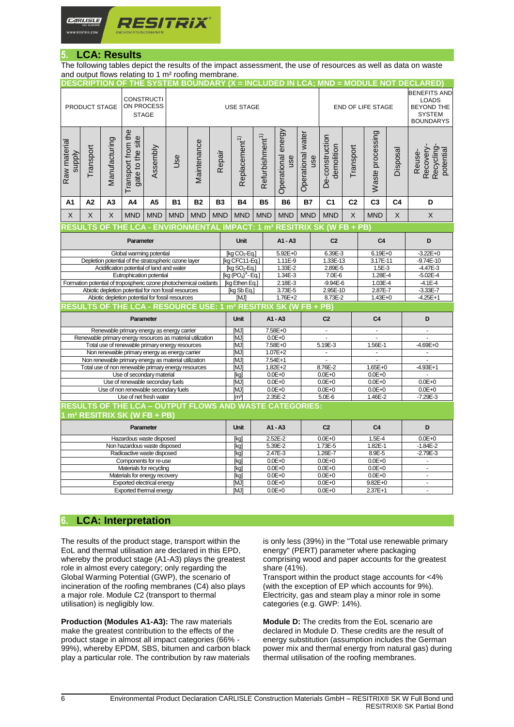

# **5. LCA: Results**

The following tables depict the results of the impact assessment, the use of resources as well as data on waste and output flows relating to 1 m² roofing membrane.

| PRODUCT STAGE                                                    |                                                                                                                                                                                                                                                                                                                                                                                                                                                                                                                                                                                                                                                                                                                                                                                                                                                                                                                                  |               | <b>CONSTRUCTI</b><br>ON PROCESS<br><b>STAGE</b> |            | DESCRIPTION OF THE SYSTEM BOUNDARY (X = INCLUDED IN LCA; MND = MODULE NOT DECLARED)<br><b>USE STAGE</b> |                                |                                       |                             |                             |                           |                   |                                      | <b>END OF LIFE STAGE</b> | <b>BENEFITS AND</b><br><b>LOADS</b><br><b>BEYOND THE</b><br><b>SYSTEM</b><br><b>BOUNDARYS</b> |              |                                               |
|------------------------------------------------------------------|----------------------------------------------------------------------------------------------------------------------------------------------------------------------------------------------------------------------------------------------------------------------------------------------------------------------------------------------------------------------------------------------------------------------------------------------------------------------------------------------------------------------------------------------------------------------------------------------------------------------------------------------------------------------------------------------------------------------------------------------------------------------------------------------------------------------------------------------------------------------------------------------------------------------------------|---------------|-------------------------------------------------|------------|---------------------------------------------------------------------------------------------------------|--------------------------------|---------------------------------------|-----------------------------|-----------------------------|---------------------------|-------------------|--------------------------------------|--------------------------|-----------------------------------------------------------------------------------------------|--------------|-----------------------------------------------|
| Raw material<br>Supply                                           | Transport                                                                                                                                                                                                                                                                                                                                                                                                                                                                                                                                                                                                                                                                                                                                                                                                                                                                                                                        | Manufacturing | Transport from the<br>gate to the site          | Assembly   | Use                                                                                                     | Maintenance                    | Repair                                | Replacement <sup>1)</sup>   | Refurbishment <sup>1)</sup> | Operational energy<br>use | Operational water | De-construction<br>demolition<br>use | Transport                | Waste processing                                                                              | Disposal     | Recovery-<br>Recycling<br>potential<br>Reuse- |
| A1                                                               | A2                                                                                                                                                                                                                                                                                                                                                                                                                                                                                                                                                                                                                                                                                                                                                                                                                                                                                                                               | A3            | A4                                              | A5         | <b>B1</b>                                                                                               | <b>B2</b>                      | <b>B3</b>                             | <b>B4</b>                   | <b>B5</b>                   | <b>B6</b>                 | <b>B7</b>         | C <sub>1</sub>                       | C <sub>2</sub>           | C <sub>3</sub>                                                                                | C4           | D                                             |
| X                                                                | X                                                                                                                                                                                                                                                                                                                                                                                                                                                                                                                                                                                                                                                                                                                                                                                                                                                                                                                                | X             | <b>MND</b>                                      | <b>MND</b> | <b>MND</b>                                                                                              | <b>MND</b>                     | <b>MND</b>                            | <b>MND</b>                  | <b>MND</b>                  | <b>MND</b>                | <b>MND</b>        | <b>MND</b>                           | $\mathsf X$              | <b>MND</b>                                                                                    | X            | X                                             |
|                                                                  |                                                                                                                                                                                                                                                                                                                                                                                                                                                                                                                                                                                                                                                                                                                                                                                                                                                                                                                                  |               |                                                 |            |                                                                                                         |                                |                                       |                             |                             |                           |                   |                                      |                          |                                                                                               |              |                                               |
| Parameter                                                        |                                                                                                                                                                                                                                                                                                                                                                                                                                                                                                                                                                                                                                                                                                                                                                                                                                                                                                                                  |               |                                                 |            |                                                                                                         | Unit<br>A1 - A3                |                                       |                             | C <sub>2</sub>              |                           | C <sub>4</sub>    |                                      | D                        |                                                                                               |              |                                               |
|                                                                  |                                                                                                                                                                                                                                                                                                                                                                                                                                                                                                                                                                                                                                                                                                                                                                                                                                                                                                                                  |               |                                                 |            | [kg CO <sub>2</sub> -Eq.]                                                                               |                                | 5.92E+0                               |                             | 6.39E-3                     |                           | $6.19E + 0$       |                                      | $-3.22E + 0$             |                                                                                               |              |                                               |
| Depletion potential of the stratospheric ozone layer             |                                                                                                                                                                                                                                                                                                                                                                                                                                                                                                                                                                                                                                                                                                                                                                                                                                                                                                                                  |               |                                                 |            |                                                                                                         | [kg CFC11-Eq.]                 |                                       | 1.11E-9                     |                             | 1.33E-13                  |                   | 3.17E-11                             |                          | $-9.74E-10$                                                                                   |              |                                               |
|                                                                  |                                                                                                                                                                                                                                                                                                                                                                                                                                                                                                                                                                                                                                                                                                                                                                                                                                                                                                                                  |               |                                                 |            |                                                                                                         |                                |                                       | $[kg$ SO <sub>2</sub> -Eq.] |                             | 1.33E-2                   |                   | 2.89E-5                              |                          | $1.5E-3$                                                                                      |              | $-4.47E-3$                                    |
|                                                                  |                                                                                                                                                                                                                                                                                                                                                                                                                                                                                                                                                                                                                                                                                                                                                                                                                                                                                                                                  |               |                                                 |            |                                                                                                         | $[kg (PO4)3 - Eq.]$<br>1.34E-3 |                                       |                             | 7.0E-6                      |                           | $1.28E - 4$       |                                      | $-5.02E - 4$             |                                                                                               |              |                                               |
| Formation potential of tropospheric ozone photochemical oxidants |                                                                                                                                                                                                                                                                                                                                                                                                                                                                                                                                                                                                                                                                                                                                                                                                                                                                                                                                  |               |                                                 |            |                                                                                                         |                                | [kg Ethen Eq.]<br>2.18E-3             |                             |                             | $-9.94E - 6$              |                   | $1.03E - 4$                          |                          | $-4.1E - 4$                                                                                   |              |                                               |
|                                                                  |                                                                                                                                                                                                                                                                                                                                                                                                                                                                                                                                                                                                                                                                                                                                                                                                                                                                                                                                  |               |                                                 |            |                                                                                                         |                                | [kg Sb Eq.]<br>3.73E-5<br>$1.76E + 2$ |                             |                             | 2.95E-10                  |                   | 2.87E-7                              |                          | $-3.33E - 7$<br>$-4.25E+1$                                                                    |              |                                               |
|                                                                  |                                                                                                                                                                                                                                                                                                                                                                                                                                                                                                                                                                                                                                                                                                                                                                                                                                                                                                                                  |               |                                                 |            |                                                                                                         |                                | [MJ]                                  |                             | 8.73E-2                     |                           | $1.43E+0$         |                                      |                          |                                                                                               |              |                                               |
|                                                                  |                                                                                                                                                                                                                                                                                                                                                                                                                                                                                                                                                                                                                                                                                                                                                                                                                                                                                                                                  |               |                                                 |            |                                                                                                         |                                |                                       |                             |                             |                           |                   |                                      |                          |                                                                                               |              |                                               |
| Parameter                                                        |                                                                                                                                                                                                                                                                                                                                                                                                                                                                                                                                                                                                                                                                                                                                                                                                                                                                                                                                  |               |                                                 |            | Unit                                                                                                    |                                | A1 - A3                               |                             | C <sub>2</sub>              |                           | C <sub>4</sub>    |                                      | D                        |                                                                                               |              |                                               |
| Renewable primary energy as energy carrier                       |                                                                                                                                                                                                                                                                                                                                                                                                                                                                                                                                                                                                                                                                                                                                                                                                                                                                                                                                  |               |                                                 |            |                                                                                                         | [MJ]                           |                                       | 7.58E+0<br>$0.0E + 0$       |                             | $\blacksquare$<br>L.      |                   | $\mathbf{r}$<br>L.                   |                          | ä,                                                                                            |              |                                               |
|                                                                  |                                                                                                                                                                                                                                                                                                                                                                                                                                                                                                                                                                                                                                                                                                                                                                                                                                                                                                                                  |               |                                                 |            |                                                                                                         |                                |                                       | [MJ]<br><b>MJ1</b>          |                             |                           |                   | 5.19E-3                              |                          | 1.56E-1                                                                                       |              | L.<br>$-4.69E + 0$                            |
|                                                                  |                                                                                                                                                                                                                                                                                                                                                                                                                                                                                                                                                                                                                                                                                                                                                                                                                                                                                                                                  |               |                                                 | [MJ]       |                                                                                                         | 7.58E+0<br>$1.07E + 2$         |                                       | L,                          |                             | $\blacksquare$            |                   |                                      |                          |                                                                                               |              |                                               |
|                                                                  |                                                                                                                                                                                                                                                                                                                                                                                                                                                                                                                                                                                                                                                                                                                                                                                                                                                                                                                                  |               |                                                 | [MJ]       |                                                                                                         | 7.54E+1                        |                                       | ä,                          |                             | $\bar{\phantom{a}}$       |                   | $\tilde{\phantom{a}}$                |                          |                                                                                               |              |                                               |
| Total use of non renewable primary energy resources              |                                                                                                                                                                                                                                                                                                                                                                                                                                                                                                                                                                                                                                                                                                                                                                                                                                                                                                                                  |               |                                                 | [MJ]       |                                                                                                         | $1.82E + 2$                    |                                       | 8.76E-2                     |                             | $1.65E + 0$               |                   | $-4.93E+1$                           |                          |                                                                                               |              |                                               |
|                                                                  |                                                                                                                                                                                                                                                                                                                                                                                                                                                                                                                                                                                                                                                                                                                                                                                                                                                                                                                                  |               |                                                 | [kg]       | $0.0E + 0$                                                                                              |                                |                                       | $0.0E + 0$                  |                             | $0.0E + 0$                |                   |                                      |                          |                                                                                               |              |                                               |
|                                                                  |                                                                                                                                                                                                                                                                                                                                                                                                                                                                                                                                                                                                                                                                                                                                                                                                                                                                                                                                  |               |                                                 |            |                                                                                                         |                                |                                       | [MJ]                        |                             | $0.0E + 0$                |                   | $0.0E + 0$                           |                          | $0.0E + 0$                                                                                    |              | $0.0E + 0$                                    |
|                                                                  | Use of non renewable secondary fuels                                                                                                                                                                                                                                                                                                                                                                                                                                                                                                                                                                                                                                                                                                                                                                                                                                                                                             |               |                                                 |            |                                                                                                         |                                | [MJ]                                  | $0.0E + 0$                  |                             |                           | $0.0E + 0$        |                                      | $0.0E + 0$               |                                                                                               | $0.0E + 0$   |                                               |
|                                                                  |                                                                                                                                                                                                                                                                                                                                                                                                                                                                                                                                                                                                                                                                                                                                                                                                                                                                                                                                  |               |                                                 |            | 2.35E-2<br>[m <sup>3</sup> ]                                                                            |                                |                                       |                             | 5.0E-6<br>1.46E-2           |                           |                   | $-7.29E-3$                           |                          |                                                                                               |              |                                               |
| <b>RESULTS OF THE LCA - OUTPUT FLOWS AND WASTE CATEGORIES:</b>   |                                                                                                                                                                                                                                                                                                                                                                                                                                                                                                                                                                                                                                                                                                                                                                                                                                                                                                                                  |               |                                                 |            |                                                                                                         |                                |                                       |                             |                             |                           |                   |                                      |                          |                                                                                               |              |                                               |
|                                                                  |                                                                                                                                                                                                                                                                                                                                                                                                                                                                                                                                                                                                                                                                                                                                                                                                                                                                                                                                  |               |                                                 |            |                                                                                                         |                                |                                       |                             |                             |                           |                   |                                      |                          |                                                                                               |              |                                               |
|                                                                  |                                                                                                                                                                                                                                                                                                                                                                                                                                                                                                                                                                                                                                                                                                                                                                                                                                                                                                                                  |               |                                                 |            |                                                                                                         |                                |                                       | <b>Unit</b>                 |                             | A1 - A3                   |                   | C <sub>2</sub>                       |                          | C <sub>4</sub>                                                                                |              | D                                             |
| Hazardous waste disposed                                         |                                                                                                                                                                                                                                                                                                                                                                                                                                                                                                                                                                                                                                                                                                                                                                                                                                                                                                                                  |               |                                                 |            |                                                                                                         |                                | [kg]                                  |                             | 2.52E-2                     |                           | $0.0E + 0$        |                                      | 1.5E-4                   |                                                                                               | $0.0E + 0$   |                                               |
| Non hazardous waste disposed                                     |                                                                                                                                                                                                                                                                                                                                                                                                                                                                                                                                                                                                                                                                                                                                                                                                                                                                                                                                  |               |                                                 |            |                                                                                                         |                                | [kg]                                  |                             | 5.39E-2                     |                           | 1.73E-5           |                                      | 1.82E-1                  |                                                                                               | $-1.84E - 2$ |                                               |
|                                                                  |                                                                                                                                                                                                                                                                                                                                                                                                                                                                                                                                                                                                                                                                                                                                                                                                                                                                                                                                  |               |                                                 |            |                                                                                                         |                                |                                       | [kg]                        |                             | 2.47E-3                   |                   | 1.26E-7                              |                          | 8.9E-5                                                                                        |              | $-2.79E-3$                                    |
|                                                                  |                                                                                                                                                                                                                                                                                                                                                                                                                                                                                                                                                                                                                                                                                                                                                                                                                                                                                                                                  |               |                                                 |            |                                                                                                         |                                |                                       | [kg]<br>[kg]                |                             | $0.0E + 0$<br>$0.0E + 0$  |                   | $0.0E + 0$<br>$0.0E + 0$             |                          | $0.0E + 0$<br>$0.0E + 0$                                                                      |              | $\mathbf{r}$                                  |
|                                                                  |                                                                                                                                                                                                                                                                                                                                                                                                                                                                                                                                                                                                                                                                                                                                                                                                                                                                                                                                  |               |                                                 |            |                                                                                                         |                                |                                       | [kg]                        |                             | $0.0E + 0$                |                   | $0.0E + 0$                           |                          | $0.0E + 0$                                                                                    |              | $\omega$                                      |
|                                                                  | RESULTS OF THE LCA - ENVIRONMENTAL IMPACT: 1 m² RESITRIX SK (W FB + PB)<br>Global warming potential<br>Acidification potential of land and water<br>Eutrophication potential<br>Abiotic depletion potential for non fossil resources<br>Abiotic depletion potential for fossil resources<br>RESULTS OF THE LCA - RESOURCE USE: 1 m <sup>2</sup> RESITRIX SK (W FB + PB)<br>Renewable primary energy resources as material utilization<br>Total use of renewable primary energy resources<br>Non renewable primary energy as energy carrier<br>Non renewable primary energy as material utilization<br>Use of secondary material<br>Use of renewable secondary fuels<br>Use of net fresh water<br>m <sup>2</sup> RESITRIX SK (W FB + PB)<br>Parameter<br>Radioactive waste disposed<br>Components for re-use<br>Materials for recycling<br>Materials for energy recovery<br>Exported electrical energy<br>Exported thermal energy |               |                                                 |            | [MJ]                                                                                                    | $0.0E + 0$                     |                                       |                             | $0.0E + 0$                  |                           | $9.82E + 0$       |                                      | $\blacksquare$           |                                                                                               |              |                                               |
|                                                                  |                                                                                                                                                                                                                                                                                                                                                                                                                                                                                                                                                                                                                                                                                                                                                                                                                                                                                                                                  |               |                                                 |            |                                                                                                         |                                |                                       | [MJ]                        |                             | $0.0E + 0$                |                   | $0.0E + 0$                           |                          | 2.37E+1                                                                                       |              | $\blacksquare$                                |

# **6. LCA: Interpretation**

The results of the product stage, transport within the EoL and thermal utilisation are declared in this EPD, whereby the product stage (A1-A3) plays the greatest role in almost every category; only regarding the Global Warming Potential (GWP), the scenario of incineration of the roofing membranes (C4) also plays a major role. Module C2 (transport to thermal utilisation) is negligibly low.

**Production (Modules A1-A3):** The raw materials make the greatest contribution to the effects of the product stage in almost all impact categories (66% - 99%), whereby EPDM, SBS, bitumen and carbon black play a particular role. The contribution by raw materials is only less (39%) in the "Total use renewable primary energy" (PERT) parameter where packaging comprising wood and paper accounts for the greatest share (41%).

Transport within the product stage accounts for <4% (with the exception of EP which accounts for 9%). Electricity, gas and steam play a minor role in some categories (e.g. GWP: 14%).

**Module D:** The credits from the EoL scenario are declared in Module D. These credits are the result of energy substitution (assumption includes the German power mix and thermal energy from natural gas) during thermal utilisation of the roofing membranes.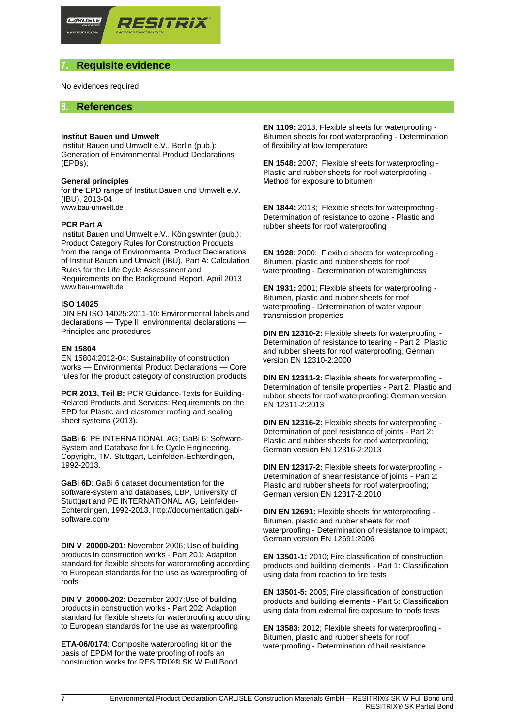

# **7. Requisite evidence**

No evidences required.

## **8. References**

#### **Institut Bauen und Umwelt**

Institut Bauen und Umwelt e.V., Berlin (pub.): Generation of Environmental Product Declarations (EPDs);

#### **General principles**

for the EPD range of Institut Bauen und Umwelt e.V. (IBU), 2013-04 [www.bau-umwelt.de](http://www.bau-umwelt.de/)

#### **PCR Part A**

Institut Bauen und Umwelt e.V., Königswinter (pub.): Product Category Rules for Construction Products from the range of Environmental Product Declarations of Institut Bauen und Umwelt (IBU), Part A: Calculation Rules for the Life Cycle Assessment and Requirements on the Background Report. April 2013 [www.bau-umwelt.de](http://www.bau-umwelt.de/)

#### **ISO 14025**

DIN EN ISO 14025:2011-10: Environmental labels and declarations — Type III environmental declarations — Principles and procedures

#### **EN 15804**

EN 15804:2012-04: Sustainability of construction works — Environmental Product Declarations — Core rules for the product category of construction products

**PCR 2013, Teil B:** PCR Guidance-Texts for Building-Related Products and Services: Requirements on the EPD for Plastic and elastomer roofing and sealing sheet systems (2013).

**GaBi 6**: PE INTERNATIONAL AG; GaBi 6: Software-System and Database for Life Cycle Engineering. Copyright, TM. Stuttgart, Leinfelden-Echterdingen, 1992-2013.

**GaBi 6D**: GaBi 6 dataset documentation for the software-system and databases, LBP, University of Stuttgart and PE INTERNATIONAL AG, Leinfelden-Echterdingen, 1992-2013. http://documentation.gabisoftware.com/

**DIN V 20000-201**: November 2006; Use of building products in construction works - Part 201: Adaption standard for flexible sheets for waterproofing according to European standards for the use as waterproofing of roofs

**DIN V 20000-202**: Dezember 2007;Use of building products in construction works - Part 202: Adaption standard for flexible sheets for waterproofing according to European standards for the use as waterproofing

**ETA-06/0174**: Composite waterproofing kit on the basis of EPDM for the waterproofing of roofs an construction works for RESITRIX® SK W Full Bond.

**EN 1109:** 2013; Flexible sheets for waterproofing - Bitumen sheets for roof waterproofing - Determination of flexibility at low temperature

**EN 1548:** 2007; Flexible sheets for waterproofing - Plastic and rubber sheets for roof waterproofing - Method for exposure to bitumen

**EN 1844:** 2013; Flexible sheets for waterproofing - Determination of resistance to ozone - Plastic and rubber sheets for roof waterproofing

**EN 1928**: 2000; Flexible sheets for waterproofing - Bitumen, plastic and rubber sheets for roof waterproofing - Determination of watertightness

**EN 1931:** 2001; Flexible sheets for waterproofing - Bitumen, plastic and rubber sheets for roof waterproofing - Determination of water vapour transmission properties

**DIN EN 12310-2:** Flexible sheets for waterproofing - Determination of resistance to tearing - Part 2: Plastic and rubber sheets for roof waterproofing; German version EN 12310-2:2000

**DIN EN 12311-2:** Flexible sheets for waterproofing - Determination of tensile properties - Part 2: Plastic and rubber sheets for roof waterproofing; German version EN 12311-2:2013

**DIN EN 12316-2:** Flexible sheets for waterproofing - Determination of peel resistance of joints - Part 2: Plastic and rubber sheets for roof waterproofing; German version EN 12316-2:2013

**DIN EN 12317-2:** Flexible sheets for waterproofing - Determination of shear resistance of joints - Part 2: Plastic and rubber sheets for roof waterproofing; German version EN 12317-2:2010

**DIN EN 12691:** Flexible sheets for waterproofing - Bitumen, plastic and rubber sheets for roof waterproofing - Determination of resistance to impact; German version EN 12691:2006

**EN 13501-1:** 2010; Fire classification of construction products and building elements - Part 1: Classification using data from reaction to fire tests

**EN 13501-5:** 2005; Fire classification of construction products and building elements - Part 5: Classification using data from external fire exposure to roofs tests

**EN 13583:** 2012; Flexible sheets for waterproofing - Bitumen, plastic and rubber sheets for roof waterproofing - Determination of hail resistance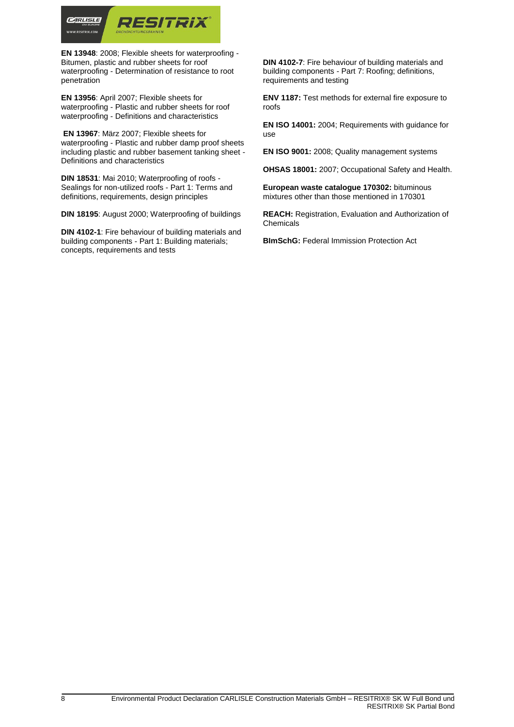

**EN 13948**: 2008; Flexible sheets for waterproofing - Bitumen, plastic and rubber sheets for roof waterproofing - Determination of resistance to root penetration

**EN 13956**: April 2007; Flexible sheets for waterproofing - Plastic and rubber sheets for roof waterproofing - Definitions and characteristics

**EN 13967**: März 2007; Flexible sheets for waterproofing - Plastic and rubber damp proof sheets including plastic and rubber basement tanking sheet - Definitions and characteristics

**DIN 18531**: Mai 2010; Waterproofing of roofs - Sealings for non-utilized roofs - Part 1: Terms and definitions, requirements, design principles

**DIN 18195**: August 2000; Waterproofing of buildings

**DIN 4102-1**: Fire behaviour of building materials and building components - Part 1: Building materials; concepts, requirements and tests

**DIN 4102-7**: Fire behaviour of building materials and building components - Part 7: Roofing; definitions, requirements and testing

**ENV 1187:** Test methods for external fire exposure to roofs

**EN ISO 14001:** 2004; Requirements with guidance for use

**EN ISO 9001:** 2008; Quality management systems

**OHSAS 18001:** 2007; Occupational Safety and Health.

**European waste catalogue 170302:** bituminous mixtures other than those mentioned in 170301

**REACH:** Registration, Evaluation and Authorization of Chemicals

**BImSchG:** Federal Immission Protection Act